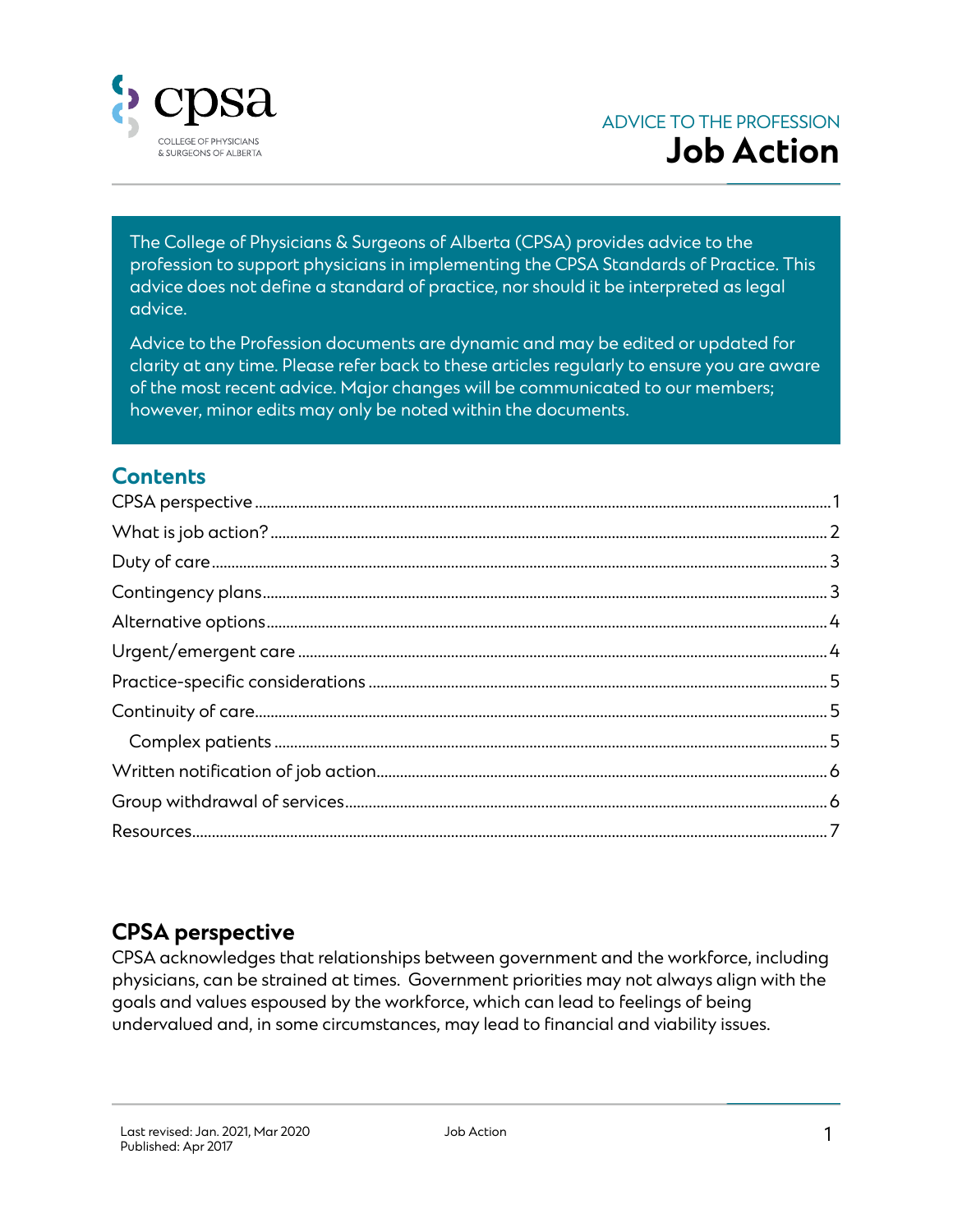

The College of Physicians & Surgeons of Alberta (CPSA) provides advice to the profession to support physicians in implementing the CPSA Standards of Practice. This advice does not define a standard of practice, nor should it be interpreted as legal advice.

Advice to the Profession documents are dynamic and may be edited or updated for clarity at any time. Please refer back to these articles regularly to ensure you are aware of the most recent advice. Major changes will be communicated to our members; however, minor edits may only be noted within the documents.

#### **Contents**

## <span id="page-0-0"></span>**CPSA perspective**

CPSA acknowledges that relationships between government and the workforce, including physicians, can be strained at times. Government priorities may not always align with the goals and values espoused by the workforce, which can lead to feelings of being undervalued and, in some circumstances, may lead to financial and viability issues.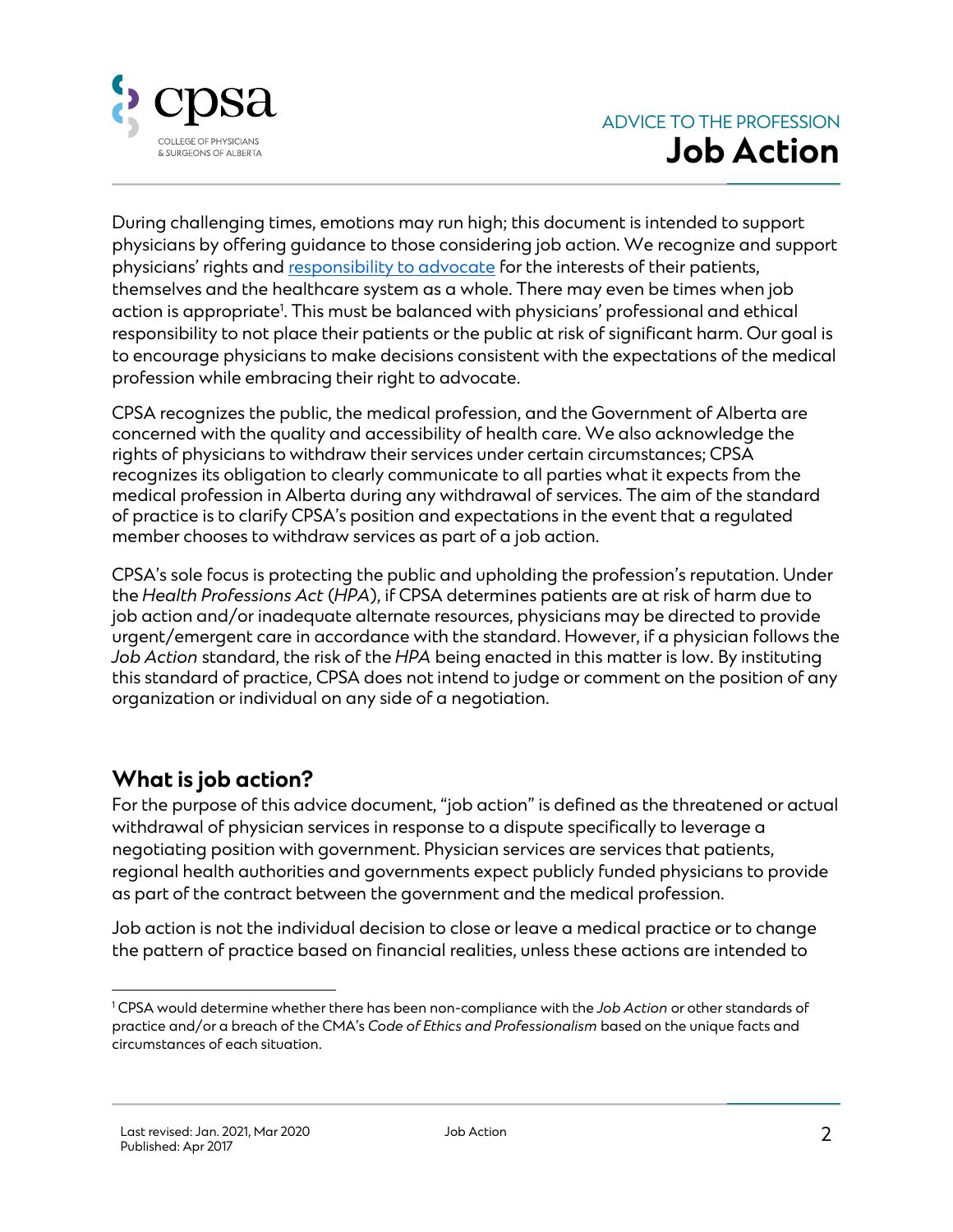

During challenging times, emotions may run high; this document is intended to support physicians by offering guidance to those considering job action. We recognize and support physicians' rights and [responsibility to](https://www.cmpa-acpm.ca/en/advice-publications/browse-articles/2014/advocacy-for-change-an-important-role-to-undertake-with-care) advocate for the interests of their patients, themselves and the healthcare system as a whole. There may even be times when job action is appropriate<sup>1</sup>. This must be balanced with physicians' professional and ethical responsibility to not place their patients or the public at risk of significant harm. Our goal is to encourage physicians to make decisions consistent with the expectations of the medical profession while embracing their right to advocate.

CPSA recognizes the public, the medical profession, and the Government of Alberta are concerned with the quality and accessibility of health care. We also acknowledge the rights of physicians to withdraw their services under certain circumstances; CPSA recognizes its obligation to clearly communicate to all parties what it expects from the medical profession in Alberta during any withdrawal of services. The aim of the standard of practice is to clarify CPSA's position and expectations in the event that a regulated member chooses to withdraw services as part of a job action.

CPSA's sole focus is protecting the public and upholding the profession's reputation. Under the *Health Professions Act* (*HPA*), if CPSA determines patients are at risk of harm due to job action and/or inadequate alternate resources, physicians may be directed to provide urgent/emergent care in accordance with the standard. However, if a physician follows the *Job Action* standard, the risk of the *HPA* being enacted in this matter is low. By instituting this standard of practice, CPSA does not intend to judge or comment on the position of any organization or individual on any side of a negotiation.

## <span id="page-1-0"></span>**What is job action?**

For the purpose of this advice document, "job action" is defined as the threatened or actual withdrawal of physician services in response to a dispute specifically to leverage a negotiating position with government. Physician services are services that patients, regional health authorities and governments expect publicly funded physicians to provide as part of the contract between the government and the medical profession.

Job action is not the individual decision to close or leave a medical practice or to change the pattern of practice based on financial realities, unless these actions are intended to

 $\overline{a}$ <sup>1</sup> CPSA would determine whether there has been non-compliance with the *Job Action* or other standards of practice and/or a breach of the CMA's *Code of Ethics and Professionalism* based on the unique facts and circumstances of each situation.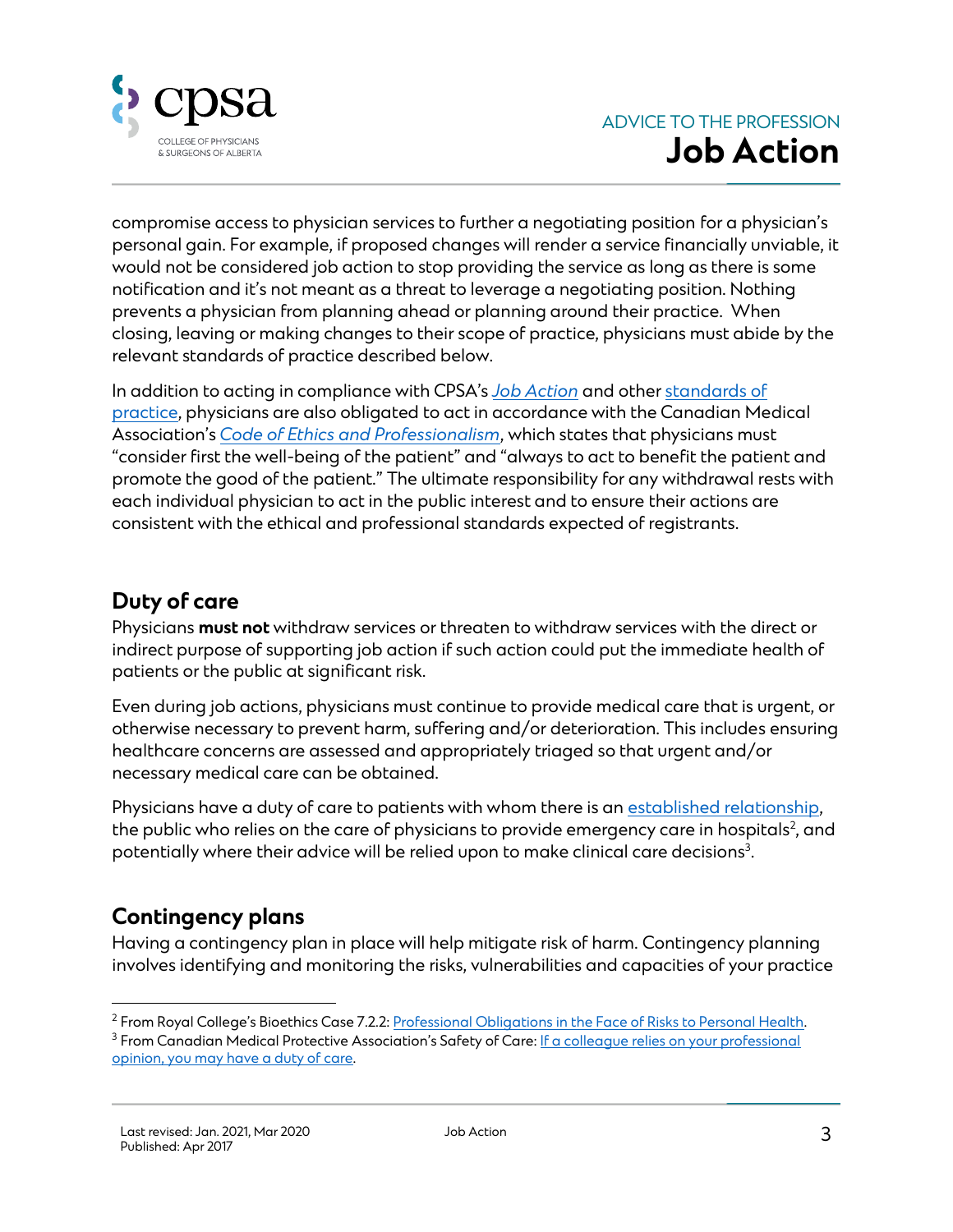

compromise access to physician services to further a negotiating position for a physician's personal gain. For example, if proposed changes will render a service financially unviable, it would not be considered job action to stop providing the service as long as there is some notification and it's not meant as a threat to leverage a negotiating position. Nothing prevents a physician from planning ahead or planning around their practice. When closing, leaving or making changes to their scope of practice, physicians must abide by the relevant standards of practice described below.

In addition to acting in compliance with CPSA's *[Job Action](https://cpsa.ca/physicians/standards-of-practice/job-action/)* and othe[r standards of](https://cpsa.ca/physicians/standards-of-practice/)  [practice,](https://cpsa.ca/physicians/standards-of-practice/) physicians are also obligated to act in accordance with the Canadian Medical Association's *[Code of Ethics and Professionalism](https://policybase.cma.ca/documents/policypdf/PD19-03.pdf)*, which states that physicians must "consider first the well-being of the patient" and "always to act to benefit the patient and promote the good of the patient." The ultimate responsibility for any withdrawal rests with each individual physician to act in the public interest and to ensure their actions are consistent with the ethical and professional standards expected of registrants.

#### <span id="page-2-0"></span>**Duty of care**

Physicians **must not** withdraw services or threaten to withdraw services with the direct or indirect purpose of supporting job action if such action could put the immediate health of patients or the public at significant risk.

Even during job actions, physicians must continue to provide medical care that is urgent, or otherwise necessary to prevent harm, suffering and/or deterioration. This includes ensuring healthcare concerns are assessed and appropriately triaged so that urgent and/or necessary medical care can be obtained.

Physicians have a duty of care to patients with whom there is an [established relationship,](https://cpsa.ca/physicians/standards-of-practice/establishing-the-physician-patient-relationship/) the public who relies on the care of physicians to provide emergency care in hospitals<sup>2</sup>, and potentially where their advice will be relied upon to make clinical care decisions $^{\text{3}}$ .

## <span id="page-2-1"></span>**Contingency plans**

Having a contingency plan in place will help mitigate risk of harm. Contingency planning involves identifying and monitoring the risks, vulnerabilities and capacities of your practice

j <sup>2</sup> From Royal College's Bioethics Case 7.2.2: [Professional Obligations in the Face of Risks to Personal Health.](file:///C:/Users/Kennedy.Schultz/Downloads/professional-obligations-face-risks-personal-health-e.pdf)

<sup>&</sup>lt;sup>3</sup> From Canadian Medical Protective Association's Safety of Care: If a colleague relies on your professional [opinion, you may have a duty of care.](https://www.cmpa-acpm.ca/en/advice-publications/browse-articles/2019/if-a-colleague-relies-on-your-professional-opinion-you-may-have-a-duty-of-care)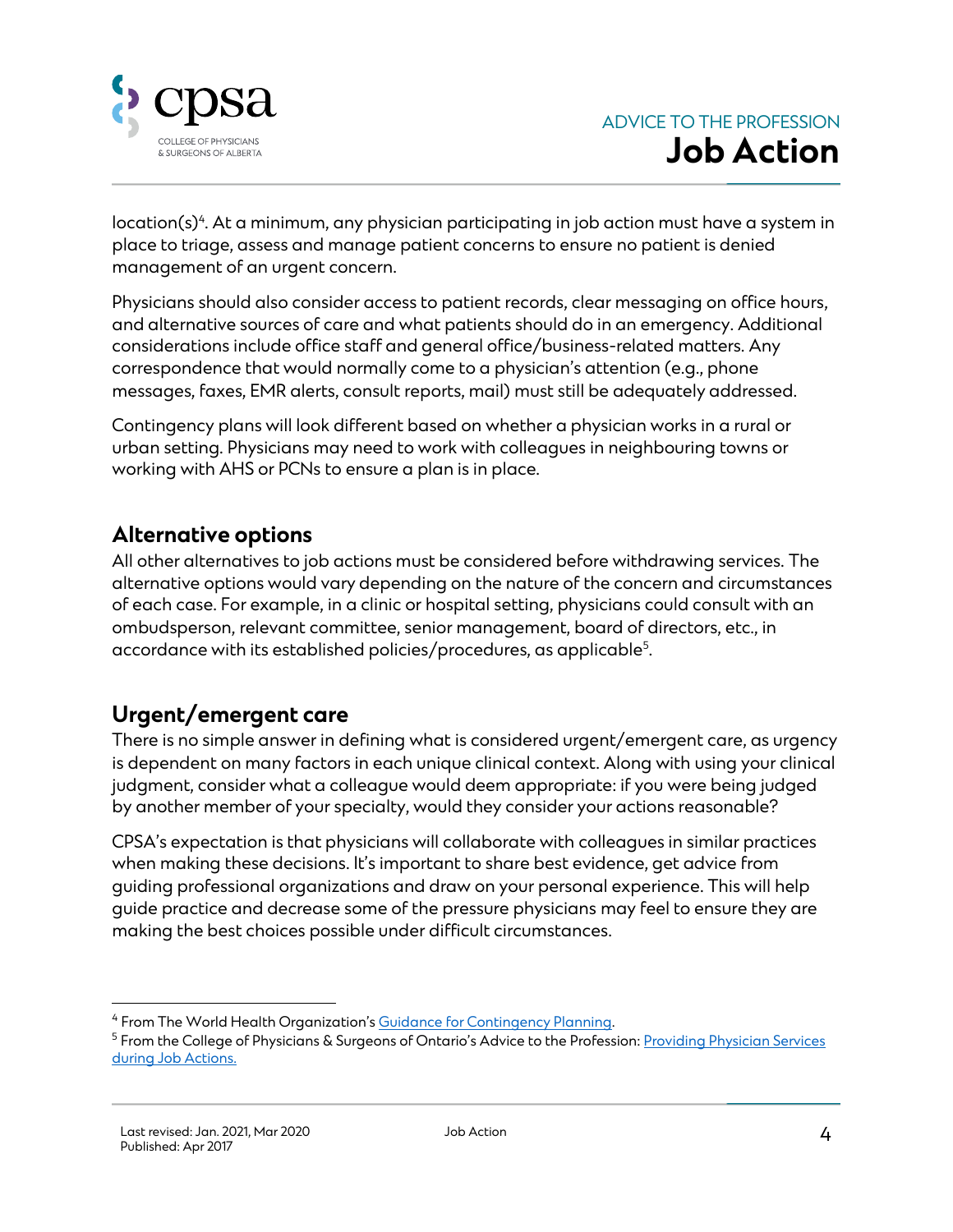

location(s) $^4$ . At a minimum, any physician participating in job action must have a system in place to triage, assess and manage patient concerns to ensure no patient is denied management of an urgent concern.

Physicians should also consider access to patient records, clear messaging on office hours, and alternative sources of care and what patients should do in an emergency. Additional considerations include office staff and general office/business-related matters. Any correspondence that would normally come to a physician's attention (e.g., phone messages, faxes, EMR alerts, consult reports, mail) must still be adequately addressed.

Contingency plans will look different based on whether a physician works in a rural or urban setting. Physicians may need to work with colleagues in neighbouring towns or working with AHS or PCNs to ensure a plan is in place.

#### <span id="page-3-0"></span>**Alternative options**

All other alternatives to job actions must be considered before withdrawing services. The alternative options would vary depending on the nature of the concern and circumstances of each case. For example, in a clinic or hospital setting, physicians could consult with an ombudsperson, relevant committee, senior management, board of directors, etc., in accordance with its established policies/procedures, as applicable $^5\!$ .

## <span id="page-3-1"></span>**Urgent/emergent care**

There is no simple answer in defining what is considered urgent/emergent care, as urgency is dependent on many factors in each unique clinical context. Along with using your clinical judgment, consider what a colleague would deem appropriate: if you were being judged by another member of your specialty, would they consider your actions reasonable?

CPSA's expectation is that physicians will collaborate with colleagues in similar practices when making these decisions. It's important to share best evidence, get advice from guiding professional organizations and draw on your personal experience. This will help guide practice and decrease some of the pressure physicians may feel to ensure they are making the best choices possible under difficult circumstances.

j <sup>4</sup> From The World Health Organization's [Guidance for Contingency Planning.](https://apps.who.int/iris/bitstream/handle/10665/260554/WHO-WHE-CPI-2018.13-eng.pdf)

<sup>&</sup>lt;sup>5</sup> From the College of Physicians & Surgeons of Ontario's Advice to the Profession: Providing Physician Services [during Job Actions.](https://www.cpso.on.ca/Physicians/Policies-Guidance/Policies/Providing-Physician-Services-During-Job-Actions/Advice-to-the-Profession-Providing-Physician-Servi)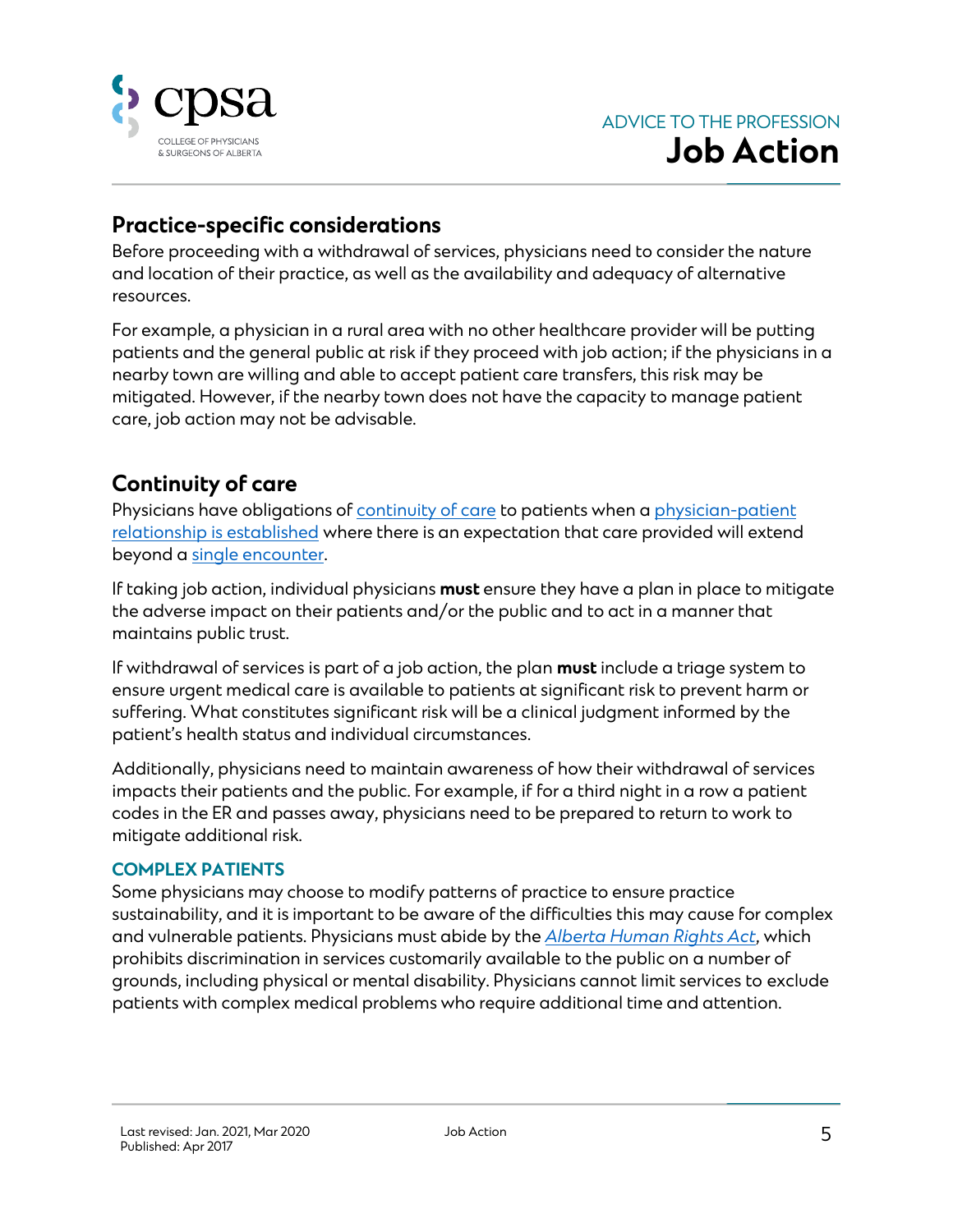

#### <span id="page-4-0"></span>**Practice-specific considerations**

Before proceeding with a withdrawal of services, physicians need to consider the nature and location of their practice, as well as the availability and adequacy of alternative resources.

For example, a physician in a rural area with no other healthcare provider will be putting patients and the general public at risk if they proceed with job action; if the physicians in a nearby town are willing and able to accept patient care transfers, this risk may be mitigated. However, if the nearby town does not have the capacity to manage patient care, job action may not be advisable.

#### <span id="page-4-1"></span>**Continuity of care**

Physicians have obligations of [continuity of care](https://cpsa.ca/physicians/standards-of-practice/continuity-of-care/) to patients when a physician-patient [relationship is established](https://cpsa.ca/physicians/standards-of-practice/establishing-the-physician-patient-relationship/) where there is an expectation that care provided will extend beyond a [single encounter.](https://cpsa.ca/physicians/standards-of-practice/episodic-care/)

If taking job action, individual physicians **must** ensure they have a plan in place to mitigate the adverse impact on their patients and/or the public and to act in a manner that maintains public trust.

If withdrawal of services is part of a job action, the plan **must** include a triage system to ensure urgent medical care is available to patients at significant risk to prevent harm or suffering. What constitutes significant risk will be a clinical judgment informed by the patient's health status and individual circumstances.

Additionally, physicians need to maintain awareness of how their withdrawal of services impacts their patients and the public. For example, if for a third night in a row a patient codes in the ER and passes away, physicians need to be prepared to return to work to mitigate additional risk.

#### <span id="page-4-2"></span>**COMPLEX PATIENTS**

Some physicians may choose to modify patterns of practice to ensure practice sustainability, and it is important to be aware of the difficulties this may cause for complex and vulnerable patients. Physicians must abide by the *[Alberta Human Rights Act](https://www.qp.alberta.ca/documents/Acts/A25P5.pdf)*, which prohibits discrimination in services customarily available to the public on a number of grounds, including physical or mental disability. Physicians cannot limit services to exclude patients with complex medical problems who require additional time and attention.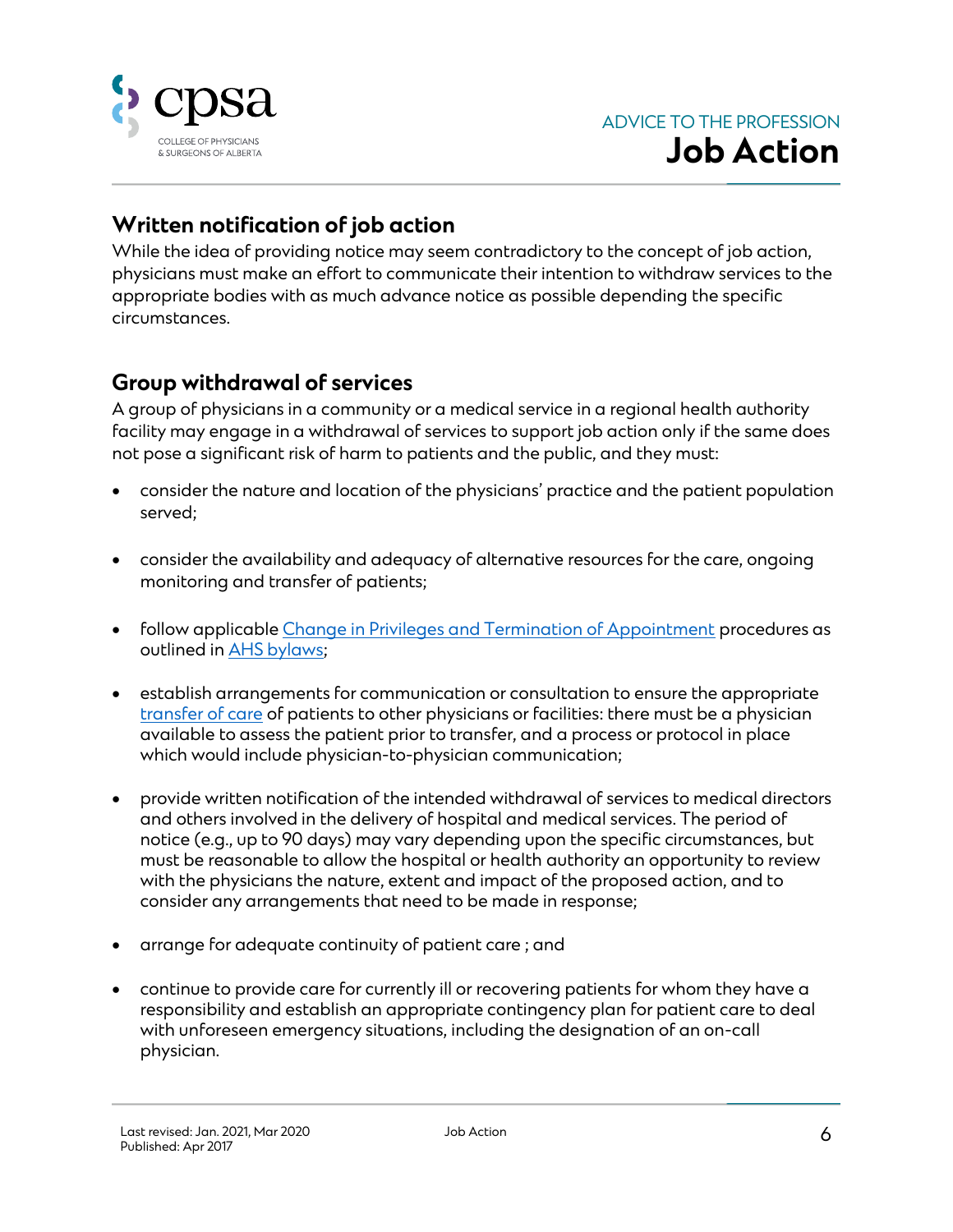

#### <span id="page-5-0"></span>**Written notification of job action**

While the idea of providing notice may seem contradictory to the concept of job action, physicians must make an effort to communicate their intention to withdraw services to the appropriate bodies with as much advance notice as possible depending the specific circumstances.

#### <span id="page-5-1"></span>**Group withdrawal of services**

A group of physicians in a community or a medical service in a regional health authority facility may engage in a withdrawal of services to support job action only if the same does not pose a significant risk of harm to patients and the public, and they must:

- consider the nature and location of the physicians' practice and the patient population served;
- consider the availability and adequacy of alternative resources for the care, ongoing monitoring and transfer of patients;
- follow applicabl[e Change in Privileges and Termination of Appointment](https://www.albertahealthservices.ca/assets/info/hp/phys/if-hp-phys-change-appt-privileges.pdf) procedures as outlined in [AHS bylaws;](https://www.albertahealthservices.ca/medstaff/Page7086.aspx)
- establish arrangements for communication or consultation to ensure the appropriate [transfer of care](https://cpsa.ca/physicians/standards-of-practice/transfer-of-care/) of patients to other physicians or facilities: there must be a physician available to assess the patient prior to transfer, and a process or protocol in place which would include physician-to-physician communication;
- provide written notification of the intended withdrawal of services to medical directors and others involved in the delivery of hospital and medical services. The period of notice (e.g., up to 90 days) may vary depending upon the specific circumstances, but must be reasonable to allow the hospital or health authority an opportunity to review with the physicians the nature, extent and impact of the proposed action, and to consider any arrangements that need to be made in response;
- arrange for adequate continuity of patient care ; and
- continue to provide care for currently ill or recovering patients for whom they have a responsibility and establish an appropriate contingency plan for patient care to deal with unforeseen emergency situations, including the designation of an on-call physician.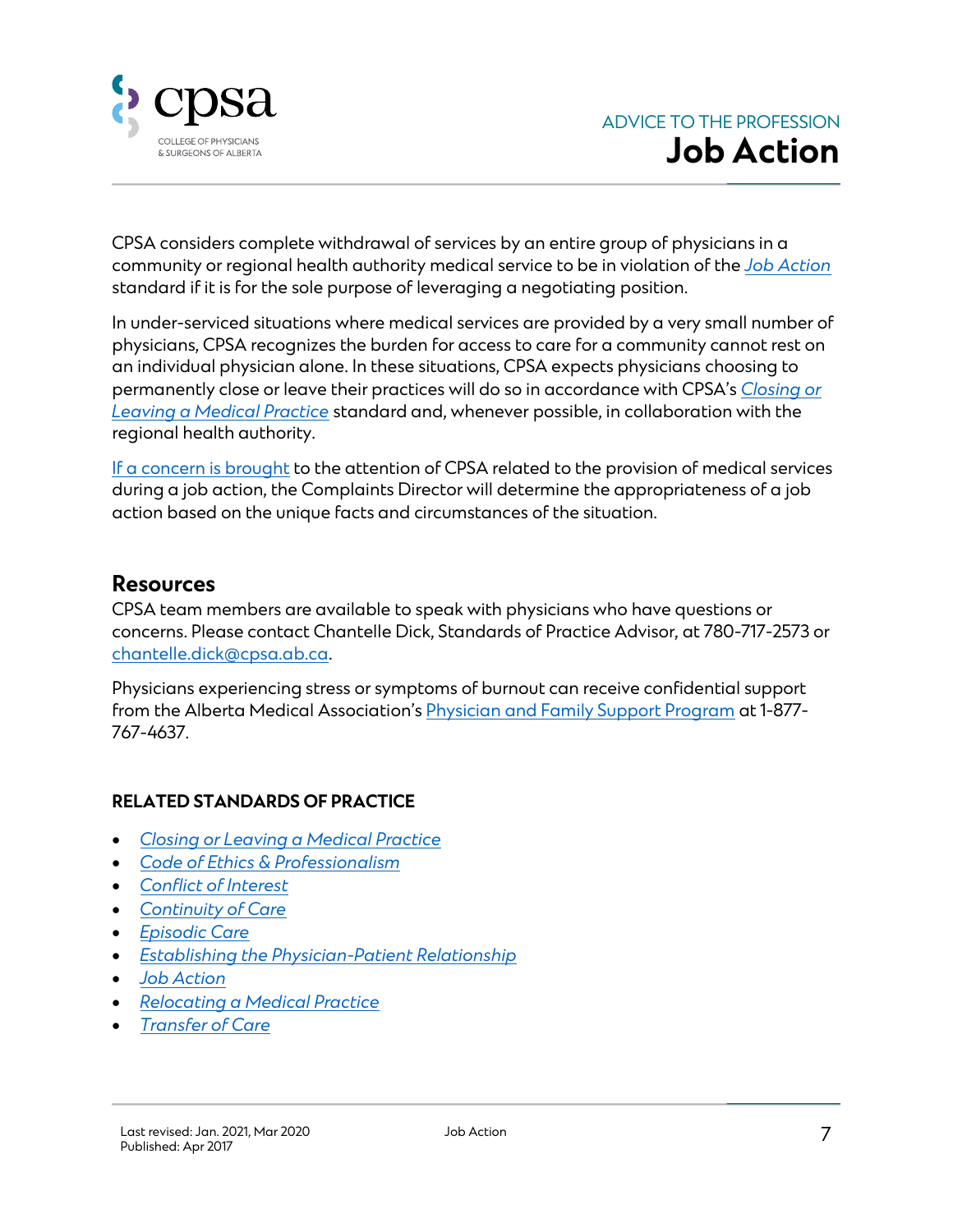

CPSA considers complete withdrawal of services by an entire group of physicians in a community or regional health authority medical service to be in violation of the *[Job Action](https://cpsa.ca/physicians/standards-of-practice/job-action/)* standard if it is for the sole purpose of leveraging a negotiating position.

In under-serviced situations where medical services are provided by a very small number of physicians, CPSA recognizes the burden for access to care for a community cannot rest on an individual physician alone. In these situations, CPSA expects physicians choosing to permanently close or leave their practices will do so in accordance with CPSA's *[Closing or](https://cpsa.ca/physicians/standards-of-practice/closing-or-leaving-a-medical-practice/)  [Leaving a Medical Practice](https://cpsa.ca/physicians/standards-of-practice/closing-or-leaving-a-medical-practice/)* standard and, whenever possible, in collaboration with the regional health authority.

[If a concern is brought](https://cpsa.ca/physicians/physician-complaints/) to the attention of CPSA related to the provision of medical services during a job action, the Complaints Director will determine the appropriateness of a job action based on the unique facts and circumstances of the situation.

#### <span id="page-6-0"></span>**Resources**

CPSA team members are available to speak with physicians who have questions or concerns. Please contact Chantelle Dick, Standards of Practice Advisor, at 780-717-2573 or [chantelle.dick@cpsa.ab.ca.](mailto:chantelle.dick@cpsa.ab.ca)

Physicians experiencing stress or symptoms of burnout can receive confidential support from the Alberta Medical Association's [Physician and Family Support Program](https://www.albertadoctors.org/services/pfsp) at 1-877- 767-4637.

#### **RELATED STANDARDS OF PRACTICE**

- *[Closing or Leaving a Medical Practice](https://cpsa.ca/physicians/standards-of-practice/closing-or-leaving-a-medical-practice/)*
- *[Code of Ethics & Professionalism](https://cpsa.ca/physicians/standards-of-practice/code-of-ethics/)*
- *[Conflict of Interest](https://cpsa.ca/physicians/standards-of-practice/conflict-of-interest/)*
- *[Continuity of Care](https://cpsa.ca/physicians/standards-of-practice/continuity-of-care/)*
- *[Episodic Care](https://cpsa.ca/physicians/standards-of-practice/episodic-care/)*
- *[Establishing the Physician-Patient Relationship](https://cpsa.ca/physicians/standards-of-practice/establishing-the-physician-patient-relationship/)*
- *[Job Action](https://cpsa.ca/physicians/standards-of-practice/job-action/)*
- *[Relocating a Medical Practice](https://cpsa.ca/physicians/standards-of-practice/relocating-a-medical-practice/)*
- *[Transfer of Care](https://cpsa.ca/physicians/standards-of-practice/transfer-of-care/)*